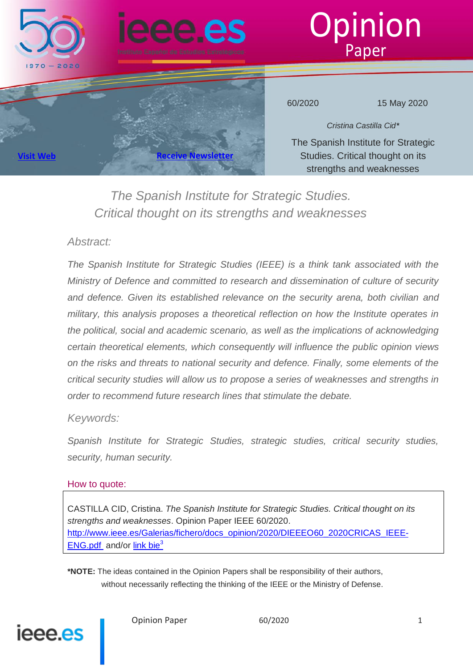





60/2020 15 May 2020

*Cristina Castilla Cid\** The Spanish Institute for Strategic Studies. Critical thought on its strengths and weaknesses

*The Spanish Institute for Strategic Studies. Critical thought on its strengths and weaknesses*

### *Abstract:*

**[Visit Web](http://www.ieee.es/) Receive Newsl** 

*The Spanish Institute for Strategic Studies (IEEE) is a think tank associated with the Ministry of Defence and committed to research and dissemination of culture of security and defence. Given its established relevance on the security arena, both civilian and military, this analysis proposes a theoretical reflection on how the Institute operates in the political, social and academic scenario, as well as the implications of acknowledging certain theoretical elements, which consequently will influence the public opinion views on the risks and threats to national security and defence. Finally, some elements of the critical security studies will allow us to propose a series of weaknesses and strengths in order to recommend future research lines that stimulate the debate.*

### *Keywords:*

*Spanish Institute for Strategic Studies, strategic studies, critical security studies, security, human security.*

#### How to quote:

CASTILLA CID, Cristina. *The Spanish Institute for Strategic Studies. Critical thought on its strengths and weaknesses*. Opinion Paper IEEE 60/2020. [http://www.ieee.es/Galerias/fichero/docs\\_opinion/2020/DIEEEO60\\_2020CRICAS\\_IEEE-](http://www.ieee.es/Galerias/fichero/docs_opinion/2020/DIEEEO60_2020CRICAS_IEEE-ENG.pdf)[ENG.pdf](http://www.ieee.es/Galerias/fichero/docs_opinion/2020/DIEEEO60_2020CRICAS_IEEE-ENG.pdf) and/or link bie<sup>3</sup>

**\*NOTE:** The ideas contained in the Opinion Papers shall be responsibility of their authors, without necessarily reflecting the thinking of the IEEE or the Ministry of Defense.

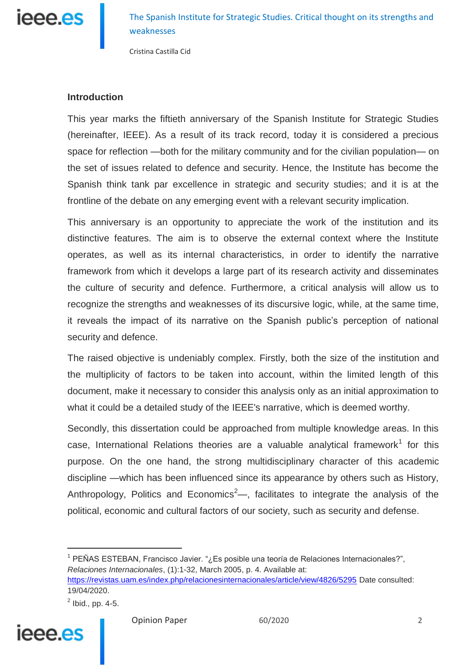

Cristina Castilla Cid

#### **Introduction**

This year marks the fiftieth anniversary of the Spanish Institute for Strategic Studies (hereinafter, IEEE). As a result of its track record, today it is considered a precious space for reflection —both for the military community and for the civilian population— on the set of issues related to defence and security. Hence, the Institute has become the Spanish think tank par excellence in strategic and security studies; and it is at the frontline of the debate on any emerging event with a relevant security implication.

This anniversary is an opportunity to appreciate the work of the institution and its distinctive features. The aim is to observe the external context where the Institute operates, as well as its internal characteristics, in order to identify the narrative framework from which it develops a large part of its research activity and disseminates the culture of security and defence. Furthermore, a critical analysis will allow us to recognize the strengths and weaknesses of its discursive logic, while, at the same time, it reveals the impact of its narrative on the Spanish public's perception of national security and defence.

The raised objective is undeniably complex. Firstly, both the size of the institution and the multiplicity of factors to be taken into account, within the limited length of this document, make it necessary to consider this analysis only as an initial approximation to what it could be a detailed study of the IEEE's narrative, which is deemed worthy.

Secondly, this dissertation could be approached from multiple knowledge areas. In this case, International Relations theories are a valuable analytical framework<sup>1</sup> for this purpose. On the one hand, the strong multidisciplinary character of this academic discipline —which has been influenced since its appearance by others such as History, Anthropology, Politics and Economics<sup>2</sup>—, facilitates to integrate the analysis of the political, economic and cultural factors of our society, such as security and defense.

<sup>1</sup> PEÑAS ESTEBAN, Francisco Javier. "¿Es posible una teoría de Relaciones Internacionales?", *Relaciones Internacionales*, (1):1-32, March 2005, p. 4. Available at: <https://revistas.uam.es/index.php/relacionesinternacionales/article/view/4826/5295> Date consulted: 19/04/2020.

 $2$  Ibid., pp. 4-5.

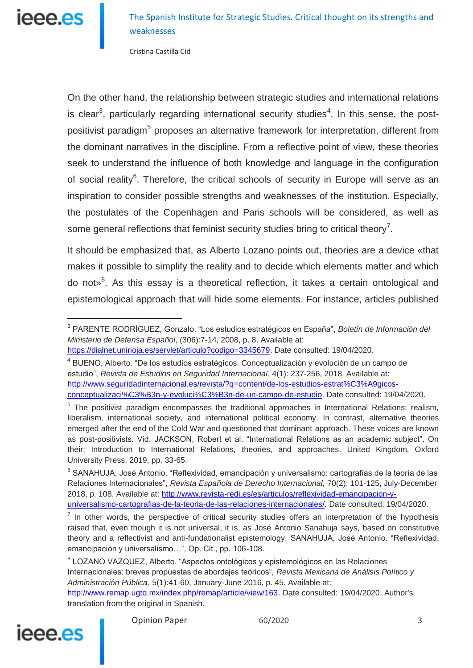# IAAA AS

 $\overline{a}$ 

The Spanish Institute for Strategic Studies. Critical thought on its strengths and weaknesses

Cristina Castilla Cid

On the other hand, the relationship between strategic studies and international relations is clear<sup>3</sup>, particularly regarding international security studies<sup>4</sup>. In this sense, the postpositivist paradigm<sup>5</sup> proposes an alternative framework for interpretation, different from the dominant narratives in the discipline. From a reflective point of view, these theories seek to understand the influence of both knowledge and language in the configuration of social reality<sup>6</sup>. Therefore, the critical schools of security in Europe will serve as an inspiration to consider possible strengths and weaknesses of the institution. Especially, the postulates of the Copenhagen and Paris schools will be considered, as well as some general reflections that feminist security studies bring to critical theory<sup>7</sup>.

It should be emphasized that, as Alberto Lozano points out, theories are a device «that makes it possible to simplify the reality and to decide which elements matter and which do not»<sup>8</sup>. As this essay is a theoretical reflection, it takes a certain ontological and epistemological approach that will hide some elements. For instance, articles published

<sup>&</sup>lt;sup>8</sup> LOZANO VAZQUEZ, Alberto. "Aspectos ontológicos y epistemológicos en las Relaciones Internacionales: breves propuestas de abordajes teóricos", *Revista Mexicana de Análisis Político y Administración Pública*, 5(1):41-60, January-June 2016, p. 45. Available at: [http://www.remap.ugto.mx/index.php/remap/article/view/163.](http://www.remap.ugto.mx/index.php/remap/article/view/163) Date consulted: 19/04/2020. Author's translation from the original in Spanish.



<sup>3</sup> PARENTE RODRÍGUEZ, Gonzalo. "Los estudios estratégicos en España", *Boletín de Información del Ministerio de Defensa Español*, (306):7-14, 2008, p. 8. Available at:

[https://dialnet.unirioja.es/servlet/articulo?codigo=3345679.](https://dialnet.unirioja.es/servlet/articulo?codigo=3345679) Date consulted: 19/04/2020.

<sup>4</sup> BUENO, Alberto. "De los estudios estratégicos. Conceptualización y evolución de un campo de estudio", *Revista de Estudios en Seguridad Internacional*, 4(1): 237-256, 2018. Available at: [http://www.seguridadinternacional.es/revista/?q=content/de-los-estudios-estrat%C3%A9gicos](http://www.seguridadinternacional.es/revista/?q=content/de-los-estudios-estrat%C3%A9gicos-conceptualizaci%C3%B3n-y-evoluci%C3%B3n-de-un-campo-de-estudio)[conceptualizaci%C3%B3n-y-evoluci%C3%B3n-de-un-campo-de-estudio.](http://www.seguridadinternacional.es/revista/?q=content/de-los-estudios-estrat%C3%A9gicos-conceptualizaci%C3%B3n-y-evoluci%C3%B3n-de-un-campo-de-estudio) Date consulted: 19/04/2020.

<sup>&</sup>lt;sup>5</sup> The positivist paradigm encompasses the traditional approaches in International Relations: realism, liberalism, international society, and international political economy. In contrast, alternative theories emerged after the end of the Cold War and questioned that dominant approach. These voices are known as post-positivists. Vid. JACKSON, Robert et al. "International Relations as an academic subject". On their: Introduction to International Relations, theories, and approaches. United Kingdom, Oxford University Press, 2019, pp. 33-65.

<sup>6</sup> SANAHUJA, José Antonio. "Reflexividad, emancipación y universalismo: cartografías de la teoría de las Relaciones Internacionales", *Revista Española de Derecho Internacional,* 70(2): 101-125, July-December 2018, p. 108. Available at: [http://www.revista-redi.es/es/articulos/reflexividad-emancipacion-y](http://www.revista-redi.es/es/articulos/reflexividad-emancipacion-y-universalismo-cartografias-de-la-teoria-de-las-relaciones-internacionales/)[universalismo-cartografias-de-la-teoria-de-las-relaciones-internacionales/.](http://www.revista-redi.es/es/articulos/reflexividad-emancipacion-y-universalismo-cartografias-de-la-teoria-de-las-relaciones-internacionales/) Date consulted: 19/04/2020.

 $<sup>7</sup>$  In other words, the perspective of critical security studies offers an interpretation of the hypothesis</sup> raised that, even though it is not universal, it is, as José Antonio Sanahuja says, based on constitutive theory and a reflectivist and anti-fundationalist epistemology. SANAHUJA, José Antonio. "Reflexividad, emancipación y universalismo…", Op. Cit., pp. 106-108.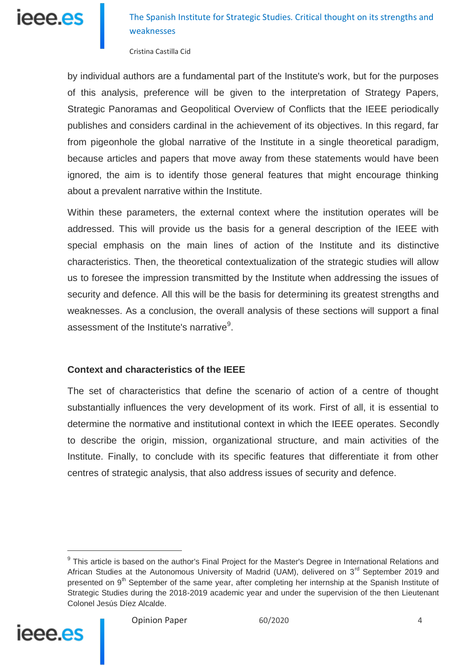

Cristina Castilla Cid

by individual authors are a fundamental part of the Institute's work, but for the purposes of this analysis, preference will be given to the interpretation of Strategy Papers, Strategic Panoramas and Geopolitical Overview of Conflicts that the IEEE periodically publishes and considers cardinal in the achievement of its objectives. In this regard, far from pigeonhole the global narrative of the Institute in a single theoretical paradigm, because articles and papers that move away from these statements would have been ignored, the aim is to identify those general features that might encourage thinking about a prevalent narrative within the Institute.

Within these parameters, the external context where the institution operates will be addressed. This will provide us the basis for a general description of the IEEE with special emphasis on the main lines of action of the Institute and its distinctive characteristics. Then, the theoretical contextualization of the strategic studies will allow us to foresee the impression transmitted by the Institute when addressing the issues of security and defence. All this will be the basis for determining its greatest strengths and weaknesses. As a conclusion, the overall analysis of these sections will support a final assessment of the Institute's narrative $9$ .

#### **Context and characteristics of the IEEE**

The set of characteristics that define the scenario of action of a centre of thought substantially influences the very development of its work. First of all, it is essential to determine the normative and institutional context in which the IEEE operates. Secondly to describe the origin, mission, organizational structure, and main activities of the Institute. Finally, to conclude with its specific features that differentiate it from other centres of strategic analysis, that also address issues of security and defence.

<sup>&</sup>lt;sup>9</sup> This article is based on the author's Final Project for the Master's Degree in International Relations and African Studies at the Autonomous University of Madrid (UAM), delivered on 3<sup>rd</sup> September 2019 and presented on  $9<sup>th</sup>$  September of the same year, after completing her internship at the Spanish Institute of Strategic Studies during the 2018-2019 academic year and under the supervision of the then Lieutenant Colonel Jesús Díez Alcalde.

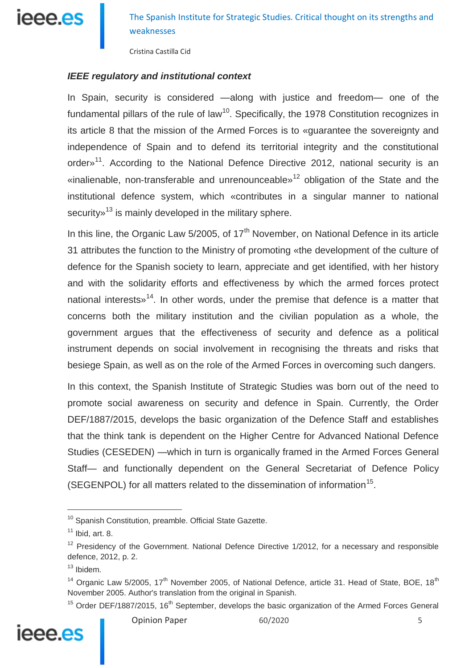

Cristina Castilla Cid

#### *IEEE regulatory and institutional context*

In Spain, security is considered —along with justice and freedom— one of the fundamental pillars of the rule of law<sup>10</sup>. Specifically, the 1978 Constitution recognizes in its article 8 that the mission of the Armed Forces is to «guarantee the sovereignty and independence of Spain and to defend its territorial integrity and the constitutional order»<sup>11</sup>. According to the National Defence Directive 2012, national security is an «inalienable, non-transferable and unrenounceable»<sup>12</sup> obligation of the State and the institutional defence system, which «contributes in a singular manner to national security»<sup>13</sup> is mainly developed in the military sphere.

In this line, the Organic Law  $5/2005$ , of  $17<sup>th</sup>$  November, on National Defence in its article 31 attributes the function to the Ministry of promoting «the development of the culture of defence for the Spanish society to learn, appreciate and get identified, with her history and with the solidarity efforts and effectiveness by which the armed forces protect national interests $v^{14}$ . In other words, under the premise that defence is a matter that concerns both the military institution and the civilian population as a whole, the government argues that the effectiveness of security and defence as a political instrument depends on social involvement in recognising the threats and risks that besiege Spain, as well as on the role of the Armed Forces in overcoming such dangers.

In this context, the Spanish Institute of Strategic Studies was born out of the need to promote social awareness on security and defence in Spain. Currently, the Order DEF/1887/2015, develops the basic organization of the Defence Staff and establishes that the think tank is dependent on the Higher Centre for Advanced National Defence Studies (CESEDEN) —which in turn is organically framed in the Armed Forces General Staff— and functionally dependent on the General Secretariat of Defence Policy (SEGENPOL) for all matters related to the dissemination of information<sup>15</sup>.

 $15$  Order DEF/1887/2015, 16<sup>th</sup> September, develops the basic organization of the Armed Forces General



<sup>&</sup>lt;sup>10</sup> Spanish Constitution, preamble. Official State Gazette.

 $11$  Ibid, art. 8.

 $12$  Presidency of the Government. National Defence Directive 1/2012, for a necessary and responsible defence, 2012, p. 2.

 $13$  Ibidem.

<sup>&</sup>lt;sup>14</sup> Organic Law 5/2005, 17<sup>th</sup> November 2005, of National Defence, article 31. Head of State, BOE, 18<sup>th</sup> November 2005. Author's translation from the original in Spanish.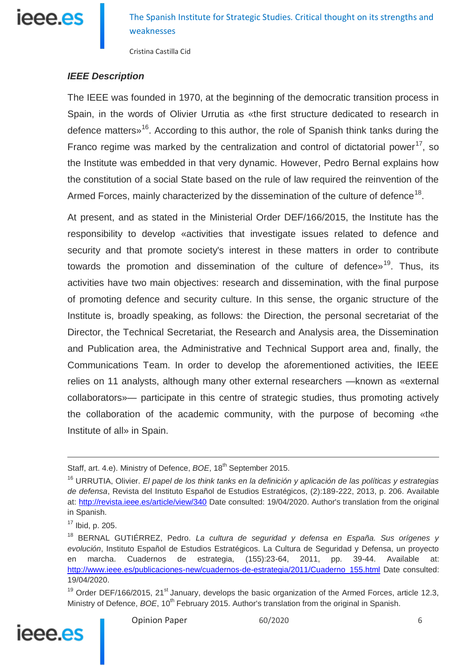

Cristina Castilla Cid

#### *IEEE Description*

The IEEE was founded in 1970, at the beginning of the democratic transition process in Spain, in the words of Olivier Urrutia as «the first structure dedicated to research in defence matters»<sup>16</sup>. According to this author, the role of Spanish think tanks during the Franco regime was marked by the centralization and control of dictatorial power<sup>17</sup>, so the Institute was embedded in that very dynamic. However, Pedro Bernal explains how the constitution of a social State based on the rule of law required the reinvention of the Armed Forces, mainly characterized by the dissemination of the culture of defence<sup>18</sup>.

At present, and as stated in the Ministerial Order DEF/166/2015, the Institute has the responsibility to develop «activities that investigate issues related to defence and security and that promote society's interest in these matters in order to contribute towards the promotion and dissemination of the culture of defence»<sup>19</sup>. Thus, its activities have two main objectives: research and dissemination, with the final purpose of promoting defence and security culture. In this sense, the organic structure of the Institute is, broadly speaking, as follows: the Direction, the personal secretariat of the Director, the Technical Secretariat, the Research and Analysis area, the Dissemination and Publication area, the Administrative and Technical Support area and, finally, the Communications Team. In order to develop the aforementioned activities, the IEEE relies on 11 analysts, although many other external researchers —known as «external collaborators»— participate in this centre of strategic studies, thus promoting actively the collaboration of the academic community, with the purpose of becoming «the Institute of all» in Spain.

<sup>&</sup>lt;sup>19</sup> Order DEF/166/2015, 21<sup>st</sup> January, develops the basic organization of the Armed Forces, article 12.3, Ministry of Defence, *BOE*, 10<sup>th</sup> February 2015. Author's translation from the original in Spanish.



Staff, art. 4.e). Ministry of Defence, *BOE*, 18<sup>th</sup> September 2015.

<sup>16</sup> URRUTIA, Olivier. *El papel de los think tanks en la definición y aplicación de las políticas y estrategias de defensa*, Revista del Instituto Español de Estudios Estratégicos, (2):189-222, 2013, p. 206. Available at: http://revista.jeee.es/article/view/340 Date consulted: 19/04/2020. Author's translation from the original in Spanish.

 $17$  Ibid, p. 205.

<sup>18</sup> BERNAL GUTIÉRREZ, Pedro. *La cultura de seguridad y defensa en España. Sus orígenes y evolución*, Instituto Español de Estudios Estratégicos. La Cultura de Seguridad y Defensa, un proyecto en marcha. Cuadernos de estrategia, (155):23-64, 2011, pp. 39-44. Available at: [http://www.ieee.es/publicaciones-new/cuadernos-de-estrategia/2011/Cuaderno\\_155.html](http://www.ieee.es/publicaciones-new/cuadernos-de-estrategia/2011/Cuaderno_155.html) Date consulted: 19/04/2020.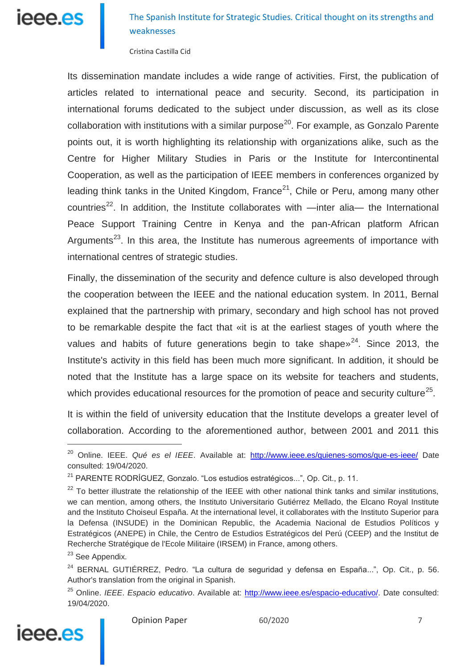## ieee.es

The Spanish Institute for Strategic Studies. Critical thought on its strengths and weaknesses

Cristina Castilla Cid

Its dissemination mandate includes a wide range of activities. First, the publication of articles related to international peace and security. Second, its participation in international forums dedicated to the subject under discussion, as well as its close collaboration with institutions with a similar purpose<sup>20</sup>. For example, as Gonzalo Parente points out, it is worth highlighting its relationship with organizations alike, such as the Centre for Higher Military Studies in Paris or the Institute for Intercontinental Cooperation, as well as the participation of IEEE members in conferences organized by leading think tanks in the United Kingdom, France<sup>21</sup>, Chile or Peru, among many other countries<sup>22</sup>. In addition, the Institute collaborates with —inter alia— the International Peace Support Training Centre in Kenya and the pan-African platform African Arguments<sup>23</sup>. In this area, the Institute has numerous agreements of importance with international centres of strategic studies.

Finally, the dissemination of the security and defence culture is also developed through the cooperation between the IEEE and the national education system. In 2011, Bernal explained that the partnership with primary, secondary and high school has not proved to be remarkable despite the fact that «it is at the earliest stages of youth where the values and habits of future generations begin to take shape $x^{24}$ . Since 2013, the Institute's activity in this field has been much more significant. In addition, it should be noted that the Institute has a large space on its website for teachers and students, which provides educational resources for the promotion of peace and security culture<sup>25</sup>.

It is within the field of university education that the Institute develops a greater level of collaboration. According to the aforementioned author, between 2001 and 2011 this

 $\overline{a}$ 

<sup>25</sup> Online. *IEEE*. *Espacio educativo*. Available at: [http://www.ieee.es/espacio-educativo/.](http://www.ieee.es/espacio-educativo/) Date consulted: 19/04/2020.



Opinion Paper 60/2020 7

<sup>&</sup>lt;sup>20</sup> Online. IEEE. Qué es el IEEE. Available at: <http://www.ieee.es/quienes-somos/que-es-ieee/> Date consulted: 19/04/2020.

<sup>21</sup> PARENTE RODRÍGUEZ, Gonzalo. "Los estudios estratégicos...", Op. Cit., p. 11.

 $22$  To better illustrate the relationship of the IEEE with other national think tanks and similar institutions, we can mention, among others, the Instituto Universitario Gutiérrez Mellado, the Elcano Royal Institute and the Instituto Choiseul España. At the international level, it collaborates with the Instituto Superior para la Defensa (INSUDE) in the Dominican Republic, the Academia Nacional de Estudios Políticos y Estratégicos (ANEPE) in Chile, the Centro de Estudios Estratégicos del Perú (CEEP) and the Institut de Recherche Stratégique de l'Ecole Militaire (IRSEM) in France, among others.

<sup>&</sup>lt;sup>23</sup> See Appendix.

 $24$  BERNAL GUTIÉRREZ, Pedro. "La cultura de seguridad y defensa en España...", Op. Cit., p. 56. Author's translation from the original in Spanish.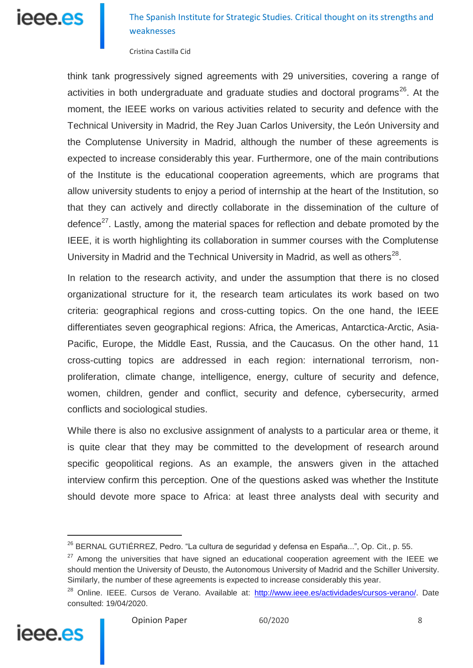# ieee.es

## The Spanish Institute for Strategic Studies. Critical thought on its strengths and weaknesses

Cristina Castilla Cid

think tank progressively signed agreements with 29 universities, covering a range of activities in both undergraduate and graduate studies and doctoral programs<sup>26</sup>. At the moment, the IEEE works on various activities related to security and defence with the Technical University in Madrid, the Rey Juan Carlos University, the León University and the Complutense University in Madrid, although the number of these agreements is expected to increase considerably this year. Furthermore, one of the main contributions of the Institute is the educational cooperation agreements, which are programs that allow university students to enjoy a period of internship at the heart of the Institution, so that they can actively and directly collaborate in the dissemination of the culture of defence<sup>27</sup>. Lastly, among the material spaces for reflection and debate promoted by the IEEE, it is worth highlighting its collaboration in summer courses with the Complutense University in Madrid and the Technical University in Madrid, as well as others $^{28}$ .

In relation to the research activity, and under the assumption that there is no closed organizational structure for it, the research team articulates its work based on two criteria: geographical regions and cross-cutting topics. On the one hand, the IEEE differentiates seven geographical regions: Africa, the Americas, Antarctica-Arctic, Asia-Pacific, Europe, the Middle East, Russia, and the Caucasus. On the other hand, 11 cross-cutting topics are addressed in each region: international terrorism, nonproliferation, climate change, intelligence, energy, culture of security and defence, women, children, gender and conflict, security and defence, cybersecurity, armed conflicts and sociological studies.

While there is also no exclusive assignment of analysts to a particular area or theme, it is quite clear that they may be committed to the development of research around specific geopolitical regions. As an example, the answers given in the attached interview confirm this perception. One of the questions asked was whether the Institute should devote more space to Africa: at least three analysts deal with security and

<sup>&</sup>lt;sup>28</sup> Online. IEEE. Cursos de Verano. Available at: [http://www.ieee.es/actividades/cursos-verano/.](http://www.ieee.es/actividades/cursos-verano/) Date consulted: 19/04/2020.



<sup>&</sup>lt;sup>26</sup> BERNAL GUTIÉRREZ, Pedro. "La cultura de seguridad y defensa en España...", Op. Cit., p. 55.

 $27$  Among the universities that have signed an educational cooperation agreement with the IEEE we should mention the University of Deusto, the Autonomous University of Madrid and the Schiller University. Similarly, the number of these agreements is expected to increase considerably this year.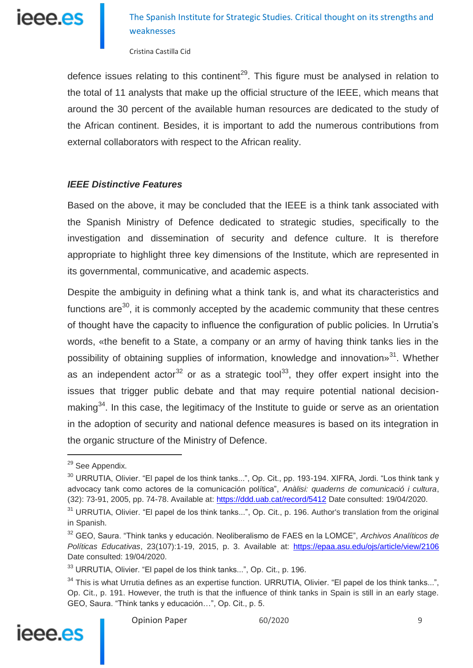

Cristina Castilla Cid

defence issues relating to this continent<sup>29</sup>. This figure must be analysed in relation to the total of 11 analysts that make up the official structure of the IEEE, which means that around the 30 percent of the available human resources are dedicated to the study of the African continent. Besides, it is important to add the numerous contributions from external collaborators with respect to the African reality.

#### *IEEE Distinctive Features*

Based on the above, it may be concluded that the IEEE is a think tank associated with the Spanish Ministry of Defence dedicated to strategic studies, specifically to the investigation and dissemination of security and defence culture. It is therefore appropriate to highlight three key dimensions of the Institute, which are represented in its governmental, communicative, and academic aspects.

Despite the ambiguity in defining what a think tank is, and what its characteristics and functions  $are^{30}$ , it is commonly accepted by the academic community that these centres of thought have the capacity to influence the configuration of public policies. In Urrutia's words, «the benefit to a State, a company or an army of having think tanks lies in the possibility of obtaining supplies of information, knowledge and innovation<sup>931</sup>. Whether as an independent actor<sup>32</sup> or as a strategic tool<sup>33</sup>, they offer expert insight into the issues that trigger public debate and that may require potential national decisionmaking<sup>34</sup>. In this case, the legitimacy of the Institute to guide or serve as an orientation in the adoption of security and national defence measures is based on its integration in the organic structure of the Ministry of Defence.

 $34$  This is what Urrutia defines as an expertise function. URRUTIA, Olivier. "El papel de los think tanks...", Op. Cit., p. 191. However, the truth is that the influence of think tanks in Spain is still in an early stage. GEO, Saura. "Think tanks y educación…", Op. Cit., p. 5.



<sup>&</sup>lt;sup>29</sup> See Appendix.

<sup>&</sup>lt;sup>30</sup> URRUTIA, Olivier. "El papel de los think tanks...", Op. Cit., pp. 193-194. XIFRA, Jordi. "Los think tank y advocacy tank como actores de la comunicación política", *Anàlisi: quaderns de comunicació i cultura*, (32): 73-91, 2005, pp. 74-78. Available at:<https://ddd.uab.cat/record/5412> Date consulted: 19/04/2020.

<sup>&</sup>lt;sup>31</sup> URRUTIA. Olivier. "El papel de los think tanks...", Op. Cit., p. 196. Author's translation from the original in Spanish.

<sup>32</sup> GEO, Saura. "Think tanks y educación. Neoliberalismo de FAES en la LOMCE", *Archivos Analíticos de Políticas Educativas*, 23(107):1-19, 2015, p. 3. Available at:<https://epaa.asu.edu/ojs/article/view/2106> Date consulted: 19/04/2020.

<sup>33</sup> URRUTIA, Olivier. "El papel de los think tanks...", Op. Cit., p. 196.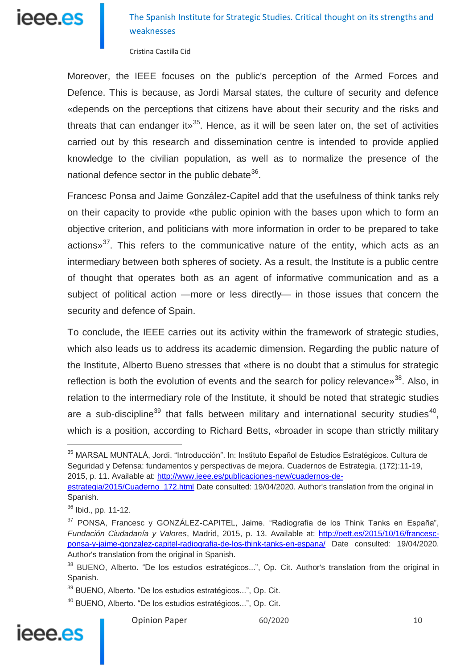

Cristina Castilla Cid

Moreover, the IEEE focuses on the public's perception of the Armed Forces and Defence. This is because, as Jordi Marsal states, the culture of security and defence «depends on the perceptions that citizens have about their security and the risks and threats that can endanger it  $x^{35}$ . Hence, as it will be seen later on, the set of activities carried out by this research and dissemination centre is intended to provide applied knowledge to the civilian population, as well as to normalize the presence of the national defence sector in the public debate $36$ .

Francesc Ponsa and Jaime González-Capitel add that the usefulness of think tanks rely on their capacity to provide «the public opinion with the bases upon which to form an objective criterion, and politicians with more information in order to be prepared to take actions» $37$ . This refers to the communicative nature of the entity, which acts as an intermediary between both spheres of society. As a result, the Institute is a public centre of thought that operates both as an agent of informative communication and as a subject of political action —more or less directly— in those issues that concern the security and defence of Spain.

To conclude, the IEEE carries out its activity within the framework of strategic studies, which also leads us to address its academic dimension. Regarding the public nature of the Institute, Alberto Bueno stresses that «there is no doubt that a stimulus for strategic reflection is both the evolution of events and the search for policy relevance $v^{38}$ . Also, in relation to the intermediary role of the Institute, it should be noted that strategic studies are a sub-discipline<sup>39</sup> that falls between military and international security studies<sup>40</sup>, which is a position, according to Richard Betts, «broader in scope than strictly military

<sup>40</sup> BUENO, Alberto. "De los estudios estratégicos...", Op. Cit.



<sup>35</sup> MARSAL MUNTALÁ, Jordi. "Introducción". In: Instituto Español de Estudios Estratégicos. Cultura de Seguridad y Defensa: fundamentos y perspectivas de mejora. Cuadernos de Estrategia, (172):11-19, 2015, p. 11. Available at: [http://www.ieee.es/publicaciones-new/cuadernos-de-](http://www.ieee.es/publicaciones-new/cuadernos-de-estrategia/2015/Cuaderno_172.html)

[estrategia/2015/Cuaderno\\_172.html](http://www.ieee.es/publicaciones-new/cuadernos-de-estrategia/2015/Cuaderno_172.html) Date consulted: 19/04/2020. Author's translation from the original in Spanish.

<sup>36</sup> Ibid., pp. 11-12.

<sup>&</sup>lt;sup>37</sup> PONSA, Francesc y GONZÁLEZ-CAPITEL, Jaime. "Radiografía de los Think Tanks en España", *Fundación Ciudadanía y Valores*, Madrid, 2015, p. 13. Available at: [http://oett.es/2015/10/16/francesc](http://oett.es/2015/10/16/francesc-ponsa-y-jaime-gonzalez-capitel-radiografia-de-los-think-tanks-en-espana/)[ponsa-y-jaime-gonzalez-capitel-radiografia-de-los-think-tanks-en-espana/](http://oett.es/2015/10/16/francesc-ponsa-y-jaime-gonzalez-capitel-radiografia-de-los-think-tanks-en-espana/) Date consulted: 19/04/2020. Author's translation from the original in Spanish.

<sup>&</sup>lt;sup>38</sup> BUENO, Alberto. "De los estudios estratégicos...", Op. Cit. Author's translation from the original in Spanish.

<sup>39</sup> BUENO, Alberto. "De los estudios estratégicos...", Op. Cit.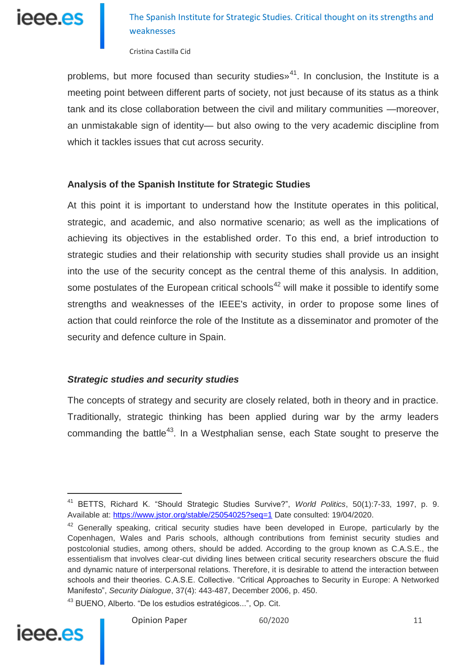

Cristina Castilla Cid

problems, but more focused than security studies $v^{41}$ . In conclusion, the Institute is a meeting point between different parts of society, not just because of its status as a think tank and its close collaboration between the civil and military communities —moreover, an unmistakable sign of identity— but also owing to the very academic discipline from which it tackles issues that cut across security.

### **Analysis of the Spanish Institute for Strategic Studies**

At this point it is important to understand how the Institute operates in this political, strategic, and academic, and also normative scenario; as well as the implications of achieving its objectives in the established order. To this end, a brief introduction to strategic studies and their relationship with security studies shall provide us an insight into the use of the security concept as the central theme of this analysis. In addition, some postulates of the European critical schools<sup>42</sup> will make it possible to identify some strengths and weaknesses of the IEEE's activity, in order to propose some lines of action that could reinforce the role of the Institute as a disseminator and promoter of the security and defence culture in Spain.

### *Strategic studies and security studies*

The concepts of strategy and security are closely related, both in theory and in practice. Traditionally, strategic thinking has been applied during war by the army leaders commanding the battle<sup>43</sup>. In a Westphalian sense, each State sought to preserve the

<sup>43</sup> BUENO, Alberto. "De los estudios estratégicos...", Op. Cit.



<sup>41</sup> BETTS, Richard K. "Should Strategic Studies Survive?", *World Politics*, 50(1):7-33, 1997, p. 9. Available at:<https://www.jstor.org/stable/25054025?seq=1> Date consulted: 19/04/2020.

 $42$  Generally speaking, critical security studies have been developed in Europe, particularly by the Copenhagen, Wales and Paris schools, although contributions from feminist security studies and postcolonial studies, among others, should be added. According to the group known as C.A.S.E., the essentialism that involves clear-cut dividing lines between critical security researchers obscure the fluid and dynamic nature of interpersonal relations. Therefore, it is desirable to attend the interaction between schools and their theories. C.A.S.E. Collective. "Critical Approaches to Security in Europe: A Networked Manifesto", *Security Dialogue*, 37(4): 443-487, December 2006, p. 450.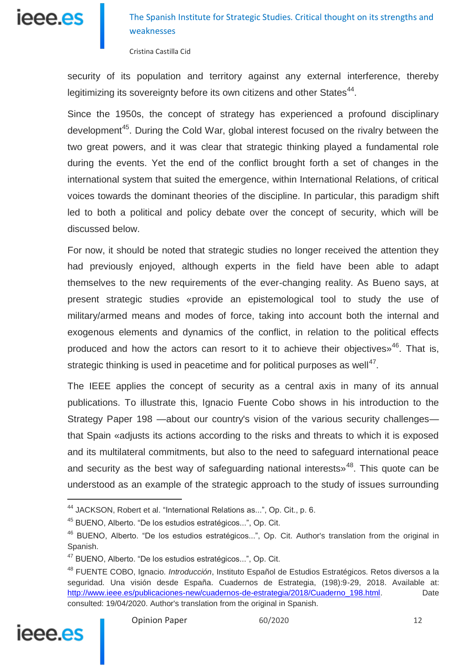

Cristina Castilla Cid

security of its population and territory against any external interference, thereby legitimizing its sovereignty before its own citizens and other States<sup>44</sup>.

Since the 1950s, the concept of strategy has experienced a profound disciplinary development<sup>45</sup>. During the Cold War, global interest focused on the rivalry between the two great powers, and it was clear that strategic thinking played a fundamental role during the events. Yet the end of the conflict brought forth a set of changes in the international system that suited the emergence, within International Relations, of critical voices towards the dominant theories of the discipline. In particular, this paradigm shift led to both a political and policy debate over the concept of security, which will be discussed below.

For now, it should be noted that strategic studies no longer received the attention they had previously enjoyed, although experts in the field have been able to adapt themselves to the new requirements of the ever-changing reality. As Bueno says, at present strategic studies «provide an epistemological tool to study the use of military/armed means and modes of force, taking into account both the internal and exogenous elements and dynamics of the conflict, in relation to the political effects produced and how the actors can resort to it to achieve their objectives $*^{46}$ . That is, strategic thinking is used in peacetime and for political purposes as well $47$ .

The IEEE applies the concept of security as a central axis in many of its annual publications. To illustrate this, Ignacio Fuente Cobo shows in his introduction to the Strategy Paper 198 —about our country's vision of the various security challenges that Spain «adjusts its actions according to the risks and threats to which it is exposed and its multilateral commitments, but also to the need to safeguard international peace and security as the best way of safeguarding national interests $^{48}$ . This quote can be understood as an example of the strategic approach to the study of issues surrounding

<sup>48</sup> FUENTE COBO, Ignacio. *Introducción*, Instituto Español de Estudios Estratégicos. Retos diversos a la seguridad. Una visión desde España. Cuadernos de Estrategia, (198):9-29, 2018. Available at: [http://www.ieee.es/publicaciones-new/cuadernos-de-estrategia/2018/Cuaderno\\_198.html.](http://www.ieee.es/publicaciones-new/cuadernos-de-estrategia/2018/Cuaderno_198.html) Date consulted: 19/04/2020. Author's translation from the original in Spanish.



<sup>44</sup> JACKSON, Robert et al. "International Relations as...", Op. Cit., p. 6.

<sup>45</sup> BUENO, Alberto. "De los estudios estratégicos...", Op. Cit.

<sup>46</sup> BUENO, Alberto. "De los estudios estratégicos...", Op. Cit. Author's translation from the original in Spanish.

<sup>&</sup>lt;sup>47</sup> BUENO, Alberto. "De los estudios estratégicos...", Op. Cit.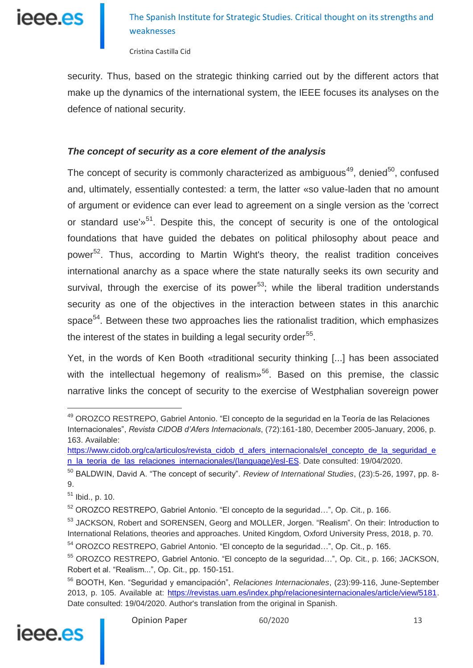

Cristina Castilla Cid

security. Thus, based on the strategic thinking carried out by the different actors that make up the dynamics of the international system, the IEEE focuses its analyses on the defence of national security.

### *The concept of security as a core element of the analysis*

The concept of security is commonly characterized as ambiguous<sup>49</sup>, denied<sup>50</sup>, confused and, ultimately, essentially contested: a term, the latter «so value-laden that no amount of argument or evidence can ever lead to agreement on a single version as the 'correct or standard use'<sup>»51</sup>. Despite this, the concept of security is one of the ontological foundations that have guided the debates on political philosophy about peace and power<sup>52</sup>. Thus, according to Martin Wight's theory, the realist tradition conceives international anarchy as a space where the state naturally seeks its own security and survival, through the exercise of its power $^{53}$ ; while the liberal tradition understands security as one of the objectives in the interaction between states in this anarchic space<sup>54</sup>. Between these two approaches lies the rationalist tradition, which emphasizes the interest of the states in building a legal security order $^{55}$ .

Yet, in the words of Ken Booth «traditional security thinking [...] has been associated with the intellectual hegemony of realism $v^{56}$ . Based on this premise, the classic narrative links the concept of security to the exercise of Westphalian sovereign power

<sup>56</sup> BOOTH, Ken. "Seguridad y emancipación", *Relaciones Internacionales*, (23):99-116, June-September 2013, p. 105. Available at: [https://revistas.uam.es/index.php/relacionesinternacionales/article/view/5181.](https://revistas.uam.es/index.php/relacionesinternacionales/article/view/5181) Date consulted: 19/04/2020. Author's translation from the original in Spanish.



<sup>49</sup> OROZCO RESTREPO, Gabriel Antonio. "El concepto de la seguridad en la Teoría de las Relaciones Internacionales", *Revista CIDOB d'Afers Internacionals*, (72):161-180, December 2005-January, 2006, p. 163. Available:

[https://www.cidob.org/ca/articulos/revista\\_cidob\\_d\\_afers\\_internacionals/el\\_concepto\\_de\\_la\\_seguridad\\_e](https://www.cidob.org/ca/articulos/revista_cidob_d_afers_internacionals/el_concepto_de_la_seguridad_en_la_teoria_de_las_relaciones_internacionales/(language)/esl-ES) n la teoria de las relaciones internacionales/(language)/esl-ES. Date consulted: 19/04/2020.

<sup>50</sup> BALDWIN, David A. "The concept of security". *Review of International Studies*, (23):5-26, 1997, pp. 8- 9.

 $51$  Ibid., p. 10.

<sup>52</sup> OROZCO RESTREPO, Gabriel Antonio. "El concepto de la seguridad…", Op. Cit., p. 166.

<sup>&</sup>lt;sup>53</sup> JACKSON, Robert and SORENSEN, Georg and MOLLER, Jorgen. "Realism". On their: Introduction to International Relations, theories and approaches. United Kingdom, Oxford University Press, 2018, p. 70.

<sup>54</sup> OROZCO RESTREPO, Gabriel Antonio. "El concepto de la seguridad…", Op. Cit., p. 165.

<sup>55</sup> OROZCO RESTREPO, Gabriel Antonio. "El concepto de la seguridad…", Op. Cit., p. 166; JACKSON, Robert et al. "Realism...", Op. Cit., pp. 150-151.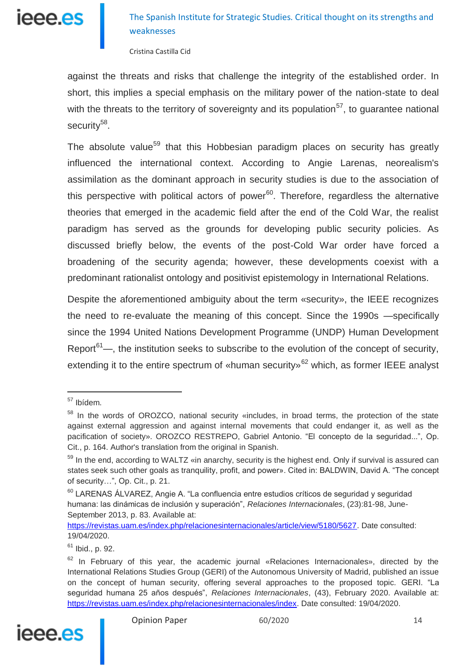

Cristina Castilla Cid

against the threats and risks that challenge the integrity of the established order. In short, this implies a special emphasis on the military power of the nation-state to deal with the threats to the territory of sovereignty and its population<sup>57</sup>, to guarantee national security<sup>58</sup>.

The absolute value<sup>59</sup> that this Hobbesian paradigm places on security has greatly influenced the international context. According to Angie Larenas, neorealism's assimilation as the dominant approach in security studies is due to the association of this perspective with political actors of power $60$ . Therefore, regardless the alternative theories that emerged in the academic field after the end of the Cold War, the realist paradigm has served as the grounds for developing public security policies. As discussed briefly below, the events of the post-Cold War order have forced a broadening of the security agenda; however, these developments coexist with a predominant rationalist ontology and positivist epistemology in International Relations.

Despite the aforementioned ambiguity about the term «security», the IEEE recognizes the need to re-evaluate the meaning of this concept. Since the 1990s —specifically since the 1994 United Nations Development Programme (UNDP) Human Development Report<sup>61</sup>—, the institution seeks to subscribe to the evolution of the concept of security, extending it to the entire spectrum of «human security»<sup>62</sup> which, as former IEEE analyst

 $62$  In February of this year, the academic journal «Relaciones Internacionales», directed by the International Relations Studies Group (GERI) of the Autonomous University of Madrid, published an issue on the concept of human security, offering several approaches to the proposed topic. GERI. "La seguridad humana 25 años después", *Relaciones Internacionales*, (43), February 2020. Available at: [https://revistas.uam.es/index.php/relacionesinternacionales/index.](https://revistas.uam.es/index.php/relacionesinternacionales/index) Date consulted: 19/04/2020.



<sup>&</sup>lt;sup>57</sup> Ibídem.

<sup>&</sup>lt;sup>58</sup> In the words of OROZCO, national security «includes, in broad terms, the protection of the state against external aggression and against internal movements that could endanger it, as well as the pacification of society». OROZCO RESTREPO, Gabriel Antonio. "El concepto de la seguridad...", Op. Cit., p. 164. Author's translation from the original in Spanish.

 $59$  In the end, according to WALTZ «in anarchy, security is the highest end. Only if survival is assured can states seek such other goals as tranquility, profit, and power». Cited in: BALDWIN, David A. "The concept of security…", Op. Cit., p. 21.

<sup>&</sup>lt;sup>60</sup> LARENAS ÁLVAREZ, Angie A. "La confluencia entre estudios críticos de seguridad y seguridad humana: las dinámicas de inclusión y superación", *Relaciones Internacionales*, (23):81-98, June-September 2013, p. 83. Available at:

[https://revistas.uam.es/index.php/relacionesinternacionales/article/view/5180/5627.](https://revistas.uam.es/index.php/relacionesinternacionales/article/view/5180/5627) Date consulted: 19/04/2020.

<sup>61</sup> Ibid., p. 92.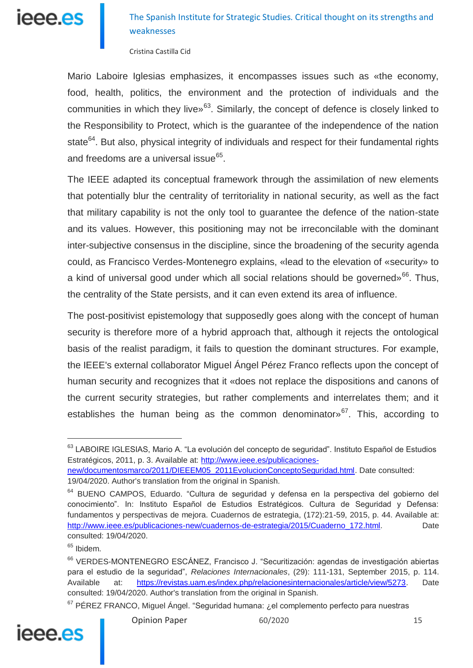# ieee.es

## The Spanish Institute for Strategic Studies. Critical thought on its strengths and weaknesses

Cristina Castilla Cid

Mario Laboire Iglesias emphasizes, it encompasses issues such as «the economy, food, health, politics, the environment and the protection of individuals and the communities in which they live»<sup>63</sup>. Similarly, the concept of defence is closely linked to the Responsibility to Protect, which is the guarantee of the independence of the nation state<sup>64</sup>. But also, physical integrity of individuals and respect for their fundamental rights and freedoms are a universal issue<sup>65</sup>.

The IEEE adapted its conceptual framework through the assimilation of new elements that potentially blur the centrality of territoriality in national security, as well as the fact that military capability is not the only tool to guarantee the defence of the nation-state and its values. However, this positioning may not be irreconcilable with the dominant inter-subjective consensus in the discipline, since the broadening of the security agenda could, as Francisco Verdes-Montenegro explains, «lead to the elevation of «security» to a kind of universal good under which all social relations should be governed»<sup>66</sup>. Thus, the centrality of the State persists, and it can even extend its area of influence.

The post-positivist epistemology that supposedly goes along with the concept of human security is therefore more of a hybrid approach that, although it rejects the ontological basis of the realist paradigm, it fails to question the dominant structures. For example, the IEEE's external collaborator Miguel Ángel Pérez Franco reflects upon the concept of human security and recognizes that it «does not replace the dispositions and canons of the current security strategies, but rather complements and interrelates them; and it establishes the human being as the common denominator»<sup>67</sup>. This, according to

 $67$  PÉREZ FRANCO, Miguel Ángel. "Seguridad humana: ¿el complemento perfecto para nuestras





<sup>&</sup>lt;sup>63</sup> LABOIRE IGLESIAS, Mario A. "La evolución del concepto de seguridad". Instituto Español de Estudios Estratégicos, 2011, p. 3. Available at: [http://www.ieee.es/publicaciones-](http://www.ieee.es/publicaciones-new/documentosmarco/2011/DIEEEM05_2011EvolucionConceptoSeguridad.html)

[new/documentosmarco/2011/DIEEEM05\\_2011EvolucionConceptoSeguridad.html.](http://www.ieee.es/publicaciones-new/documentosmarco/2011/DIEEEM05_2011EvolucionConceptoSeguridad.html) Date consulted: 19/04/2020. Author's translation from the original in Spanish.

<sup>&</sup>lt;sup>64</sup> BUENO CAMPOS, Eduardo. "Cultura de seguridad y defensa en la perspectiva del gobierno del conocimiento". In: Instituto Español de Estudios Estratégicos. Cultura de Seguridad y Defensa: fundamentos y perspectivas de mejora. Cuadernos de estrategia, (172):21-59, 2015, p. 44. Available at: [http://www.ieee.es/publicaciones-new/cuadernos-de-estrategia/2015/Cuaderno\\_172.html.](http://www.ieee.es/publicaciones-new/cuadernos-de-estrategia/2015/Cuaderno_172.html) Date consulted: 19/04/2020.

<sup>&</sup>lt;sup>65</sup> Ibidem.

<sup>66</sup> VERDES-MONTENEGRO ESCÁNEZ, Francisco J. "Securitización: agendas de investigación abiertas para el estudio de la seguridad", *Relaciones Internacionales*, (29): 111-131, September 2015, p. 114. Available at: [https://revistas.uam.es/index.php/relacionesinternacionales/article/view/5273.](https://revistas.uam.es/index.php/relacionesinternacionales/article/view/5273) Date consulted: 19/04/2020. Author's translation from the original in Spanish.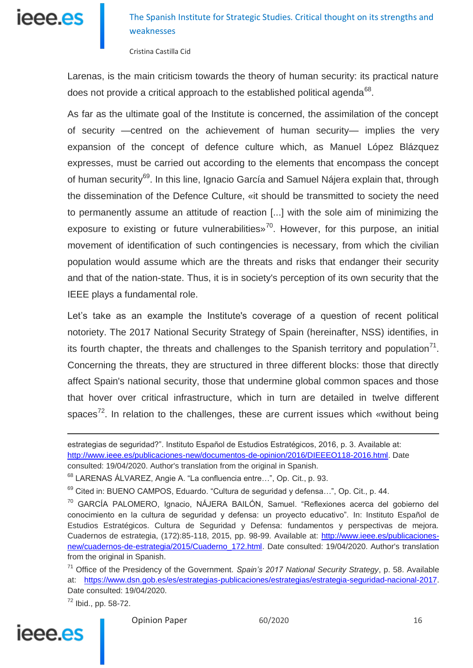

Cristina Castilla Cid

Larenas, is the main criticism towards the theory of human security: its practical nature does not provide a critical approach to the established political agenda<sup>68</sup>.

As far as the ultimate goal of the Institute is concerned, the assimilation of the concept of security —centred on the achievement of human security— implies the very expansion of the concept of defence culture which, as Manuel López Blázquez expresses, must be carried out according to the elements that encompass the concept of human security<sup>69</sup>. In this line, Ignacio García and Samuel Nájera explain that, through the dissemination of the Defence Culture, «it should be transmitted to society the need to permanently assume an attitude of reaction [...] with the sole aim of minimizing the exposure to existing or future vulnerabilities»<sup>70</sup>. However, for this purpose, an initial movement of identification of such contingencies is necessary, from which the civilian population would assume which are the threats and risks that endanger their security and that of the nation-state. Thus, it is in society's perception of its own security that the IEEE plays a fundamental role.

Let's take as an example the Institute's coverage of a question of recent political notoriety. The 2017 National Security Strategy of Spain (hereinafter, NSS) identifies, in its fourth chapter, the threats and challenges to the Spanish territory and population $71$ . Concerning the threats, they are structured in three different blocks: those that directly affect Spain's national security, those that undermine global common spaces and those that hover over critical infrastructure, which in turn are detailed in twelve different spaces<sup>72</sup>. In relation to the challenges, these are current issues which «without being

<sup>72</sup> Ibid., pp. 58-72.



estrategias de seguridad?". Instituto Español de Estudios Estratégicos, 2016, p. 3. Available at: [http://www.ieee.es/publicaciones-new/documentos-de-opinion/2016/DIEEEO118-2016.html.](http://www.ieee.es/publicaciones-new/documentos-de-opinion/2016/DIEEEO118-2016.html) Date consulted: 19/04/2020. Author's translation from the original in Spanish.

<sup>68</sup> LARENAS ÁLVAREZ, Angie A. "La confluencia entre…", Op. Cit., p. 93.

 $69$  Cited in: BUENO CAMPOS, Eduardo. "Cultura de seguridad y defensa...", Op. Cit., p. 44.

<sup>70</sup> GARCÍA PALOMERO, Ignacio, NÁJERA BAILÓN, Samuel. "Reflexiones acerca del gobierno del conocimiento en la cultura de seguridad y defensa: un proyecto educativo". In: Instituto Español de Estudios Estratégicos. Cultura de Seguridad y Defensa: fundamentos y perspectivas de mejora. Cuadernos de estrategia, (172):85-118, 2015, pp. 98-99. Available at: [http://www.ieee.es/publicaciones](http://www.ieee.es/publicaciones-new/cuadernos-de-estrategia/2015/Cuaderno_172.html)[new/cuadernos-de-estrategia/2015/Cuaderno\\_172.html.](http://www.ieee.es/publicaciones-new/cuadernos-de-estrategia/2015/Cuaderno_172.html) Date consulted: 19/04/2020. Author's translation from the original in Spanish.

<sup>71</sup> Office of the Presidency of the Government. *Spain's 2017 National Security Strategy*, p. 58. Available at: [https://www.dsn.gob.es/es/estrategias-publicaciones/estrategias/estrategia-seguridad-nacional-2017.](https://www.dsn.gob.es/es/estrategias-publicaciones/estrategias/estrategia-seguridad-nacional-2017) Date consulted: 19/04/2020.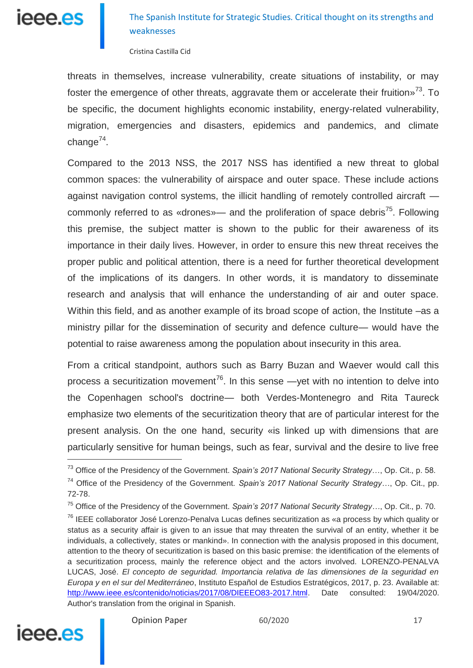

Cristina Castilla Cid

threats in themselves, increase vulnerability, create situations of instability, or may foster the emergence of other threats, aggravate them or accelerate their fruition $v^{73}$ . To be specific, the document highlights economic instability, energy-related vulnerability, migration, emergencies and disasters, epidemics and pandemics, and climate change<sup>74</sup>.

Compared to the 2013 NSS, the 2017 NSS has identified a new threat to global common spaces: the vulnerability of airspace and outer space. These include actions against navigation control systems, the illicit handling of remotely controlled aircraft commonly referred to as «drones»— and the proliferation of space debris<sup>75</sup>. Following this premise, the subject matter is shown to the public for their awareness of its importance in their daily lives. However, in order to ensure this new threat receives the proper public and political attention, there is a need for further theoretical development of the implications of its dangers. In other words, it is mandatory to disseminate research and analysis that will enhance the understanding of air and outer space. Within this field, and as another example of its broad scope of action, the Institute –as a ministry pillar for the dissemination of security and defence culture— would have the potential to raise awareness among the population about insecurity in this area.

From a critical standpoint, authors such as Barry Buzan and Waever would call this process a securitization movement<sup>76</sup>. In this sense —yet with no intention to delve into the Copenhagen school's doctrine— both Verdes-Montenegro and Rita Taureck emphasize two elements of the securitization theory that are of particular interest for the present analysis. On the one hand, security «is linked up with dimensions that are particularly sensitive for human beings, such as fear, survival and the desire to live free

<sup>&</sup>lt;sup>76</sup> IEEE collaborator José Lorenzo-Penalva Lucas defines securitization as «a process by which quality or status as a security affair is given to an issue that may threaten the survival of an entity, whether it be individuals, a collectively, states or mankind». In connection with the analysis proposed in this document, attention to the theory of securitization is based on this basic premise: the identification of the elements of a securitization process, mainly the reference object and the actors involved. LORENZO-PENALVA LUCAS, José. *El concepto de seguridad. Importancia relativa de las dimensiones de la seguridad en Europa y en el sur del Mediterráneo*, Instituto Español de Estudios Estratégicos, 2017, p. 23. Available at: [http://www.ieee.es/contenido/noticias/2017/08/DIEEEO83-2017.html.](http://www.ieee.es/contenido/noticias/2017/08/DIEEEO83-2017.html) Date consulted: 19/04/2020. Author's translation from the original in Spanish.



<sup>73</sup> Office of the Presidency of the Government. *Spain's 2017 National Security Strategy*…, Op. Cit., p. 58. <sup>74</sup> Office of the Presidency of the Government. *Spain's 2017 National Security Strategy*…, Op. Cit., pp. 72-78.

<sup>75</sup> Office of the Presidency of the Government. *Spain's 2017 National Security Strategy…*, Op. Cit., p. 70.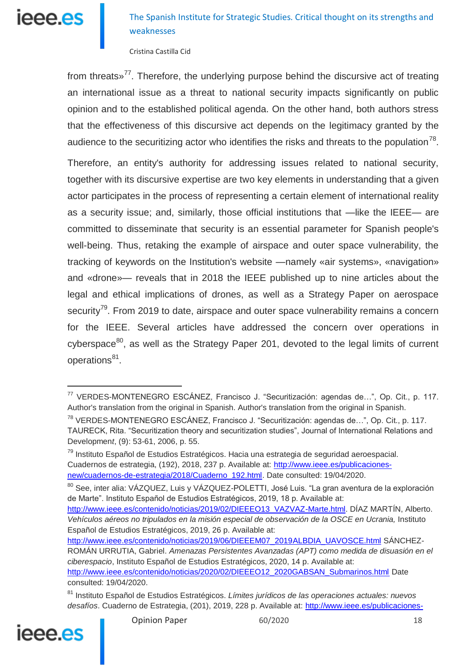

Cristina Castilla Cid

from threats»<sup>77</sup>. Therefore, the underlying purpose behind the discursive act of treating an international issue as a threat to national security impacts significantly on public opinion and to the established political agenda. On the other hand, both authors stress that the effectiveness of this discursive act depends on the legitimacy granted by the audience to the securitizing actor who identifies the risks and threats to the population<sup>78</sup>.

Therefore, an entity's authority for addressing issues related to national security, together with its discursive expertise are two key elements in understanding that a given actor participates in the process of representing a certain element of international reality as a security issue; and, similarly, those official institutions that —like the IEEE— are committed to disseminate that security is an essential parameter for Spanish people's well-being. Thus, retaking the example of airspace and outer space vulnerability, the tracking of keywords on the Institution's website —namely «air systems», «navigation» and «drone»— reveals that in 2018 the IEEE published up to nine articles about the legal and ethical implications of drones, as well as a Strategy Paper on aerospace security<sup>79</sup>. From 2019 to date, airspace and outer space vulnerability remains a concern for the IEEE. Several articles have addressed the concern over operations in cyberspace $^{80}$ , as well as the Strategy Paper 201, devoted to the legal limits of current operations<sup>81</sup>.

<sup>81</sup> Instituto Español de Estudios Estratégicos. *Límites jurídicos de las operaciones actuales: nuevos desafíos*. Cuaderno de Estrategia, (201), 2019, 228 p. Available at: [http://www.ieee.es/publicaciones-](http://www.ieee.es/publicaciones-new/cuadernos-de-estrategia/2019/Cuaderno_201.html)



<sup>77</sup> VERDES-MONTENEGRO ESCÁNEZ, Francisco J. "Securitización: agendas de…", Op. Cit., p. 117. Author's translation from the original in Spanish. Author's translation from the original in Spanish.

<sup>78</sup> VERDES-MONTENEGRO ESCÁNEZ, Francisco J. "Securitización: agendas de…", Op. Cit., p. 117. TAURECK, Rita. "Securitization theory and securitization studies", Journal of International Relations and Developmen*t*, (9): 53-61, 2006, p. 55.

<sup>79</sup> Instituto Español de Estudios Estratégicos. Hacia una estrategia de seguridad aeroespacial. Cuadernos de estrategia, (192), 2018, 237 p. Available at: [http://www.ieee.es/publicaciones](http://www.ieee.es/publicaciones-new/cuadernos-de-estrategia/2018/Cuaderno_192.html)[new/cuadernos-de-estrategia/2018/Cuaderno\\_192.html.](http://www.ieee.es/publicaciones-new/cuadernos-de-estrategia/2018/Cuaderno_192.html) Date consulted: 19/04/2020.

<sup>&</sup>lt;sup>80</sup> See, inter alia: VÁZQUEZ, Luis y VÁZQUEZ-POLETTI, José Luis. "La gran aventura de la exploración de Marte". Instituto Español de Estudios Estratégicos, 2019, 18 p. Available at:

[http://www.ieee.es/contenido/noticias/2019/02/DIEEEO13\\_VAZVAZ-Marte.html.](http://www.ieee.es/contenido/noticias/2019/02/DIEEEO13_VAZVAZ-Marte.html) DÍAZ MARTÍN, Alberto. *Vehículos aéreos no tripulados en la misión especial de observación de la OSCE en Ucrania,* Instituto Español de Estudios Estratégicos, 2019, 26 p. Available at:

[http://www.ieee.es/contenido/noticias/2019/06/DIEEEM07\\_2019ALBDIA\\_UAVOSCE.html](http://www.ieee.es/contenido/noticias/2019/06/DIEEEM07_2019ALBDIA_UAVOSCE.html) SÁNCHEZ-ROMÁN URRUTIA, Gabriel. *Amenazas Persistentes Avanzadas (APT) como medida de disuasión en el ciberespacio*, Instituto Español de Estudios Estratégicos, 2020, 14 p. Available at: [http://www.ieee.es/contenido/noticias/2020/02/DIEEEO12\\_2020GABSAN\\_Submarinos.html](http://www.ieee.es/contenido/noticias/2020/02/DIEEEO12_2020GABSAN_Submarinos.html) Date consulted: 19/04/2020.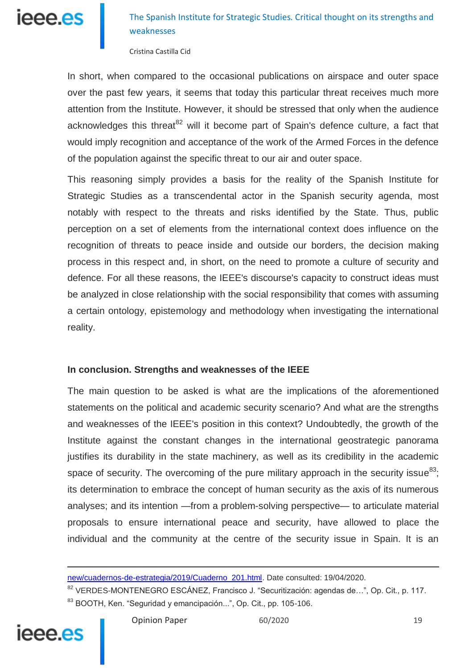

Cristina Castilla Cid

In short, when compared to the occasional publications on airspace and outer space over the past few years, it seems that today this particular threat receives much more attention from the Institute. However, it should be stressed that only when the audience acknowledges this threat<sup>82</sup> will it become part of Spain's defence culture, a fact that would imply recognition and acceptance of the work of the Armed Forces in the defence of the population against the specific threat to our air and outer space.

This reasoning simply provides a basis for the reality of the Spanish Institute for Strategic Studies as a transcendental actor in the Spanish security agenda, most notably with respect to the threats and risks identified by the State. Thus, public perception on a set of elements from the international context does influence on the recognition of threats to peace inside and outside our borders, the decision making process in this respect and, in short, on the need to promote a culture of security and defence. For all these reasons, the IEEE's discourse's capacity to construct ideas must be analyzed in close relationship with the social responsibility that comes with assuming a certain ontology, epistemology and methodology when investigating the international reality.

### **In conclusion. Strengths and weaknesses of the IEEE**

The main question to be asked is what are the implications of the aforementioned statements on the political and academic security scenario? And what are the strengths and weaknesses of the IEEE's position in this context? Undoubtedly, the growth of the Institute against the constant changes in the international geostrategic panorama justifies its durability in the state machinery, as well as its credibility in the academic space of security. The overcoming of the pure military approach in the security issue $^{83}$ ; its determination to embrace the concept of human security as the axis of its numerous analyses; and its intention —from a problem-solving perspective— to articulate material proposals to ensure international peace and security, have allowed to place the individual and the community at the centre of the security issue in Spain. It is an

<sup>82</sup> VERDES-MONTENEGRO ESCÁNEZ, Francisco J. "Securitización: agendas de...", Op. Cit., p. 117. <sup>83</sup> BOOTH, Ken. "Seguridad y emancipación...", Op. Cit., pp. 105-106.



[new/cuadernos-de-estrategia/2019/Cuaderno\\_201.html.](http://www.ieee.es/publicaciones-new/cuadernos-de-estrategia/2019/Cuaderno_201.html) Date consulted: 19/04/2020.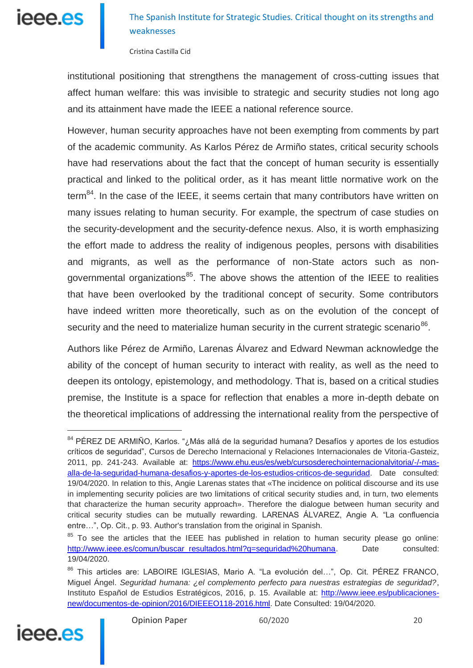

Cristina Castilla Cid

institutional positioning that strengthens the management of cross-cutting issues that affect human welfare: this was invisible to strategic and security studies not long ago and its attainment have made the IEEE a national reference source.

However, human security approaches have not been exempting from comments by part of the academic community. As Karlos Pérez de Armiño states, critical security schools have had reservations about the fact that the concept of human security is essentially practical and linked to the political order, as it has meant little normative work on the term $^{84}$ . In the case of the IEEE, it seems certain that many contributors have written on many issues relating to human security. For example, the spectrum of case studies on the security-development and the security-defence nexus. Also, it is worth emphasizing the effort made to address the reality of indigenous peoples, persons with disabilities and migrants, as well as the performance of non-State actors such as nongovernmental organizations<sup>85</sup>. The above shows the attention of the IEEE to realities that have been overlooked by the traditional concept of security. Some contributors have indeed written more theoretically, such as on the evolution of the concept of security and the need to materialize human security in the current strategic scenario<sup>86</sup>.

Authors like Pérez de Armiño, Larenas Álvarez and Edward Newman acknowledge the ability of the concept of human security to interact with reality, as well as the need to deepen its ontology, epistemology, and methodology. That is, based on a critical studies premise, the Institute is a space for reflection that enables a more in-depth debate on the theoretical implications of addressing the international reality from the perspective of

<sup>86</sup> This articles are: LABOIRE IGLESIAS, Mario A. "La evolución del...", Op. Cit. PÉREZ FRANCO, Miguel Ángel. *Seguridad humana: ¿el complemento perfecto para nuestras estrategias de seguridad?*, Instituto Español de Estudios Estratégicos, 2016, p. 15. Available at: [http://www.ieee.es/publicaciones](http://www.ieee.es/publicaciones-new/documentos-de-opinion/2016/DIEEEO118-2016.html)[new/documentos-de-opinion/2016/DIEEEO118-2016.html.](http://www.ieee.es/publicaciones-new/documentos-de-opinion/2016/DIEEEO118-2016.html) Date Consulted: 19/04/2020.



<sup>84</sup> PÉREZ DE ARMIÑO, Karlos. "¿Más allá de la seguridad humana? Desafíos y aportes de los estudios críticos de seguridad", Cursos de Derecho Internacional y Relaciones Internacionales de Vitoria-Gasteiz, 2011, pp. 241-243. Available at: [https://www.ehu.eus/es/web/cursosderechointernacionalvitoria/-/-mas](https://www.ehu.eus/es/web/cursosderechointernacionalvitoria/-/-mas-alla-de-la-seguridad-humana-desafios-y-aportes-de-los-estudios-criticos-de-seguridad)[alla-de-la-seguridad-humana-desafios-y-aportes-de-los-estudios-criticos-de-seguridad.](https://www.ehu.eus/es/web/cursosderechointernacionalvitoria/-/-mas-alla-de-la-seguridad-humana-desafios-y-aportes-de-los-estudios-criticos-de-seguridad) Date consulted: 19/04/2020. In relation to this, Angie Larenas states that «The incidence on political discourse and its use in implementing security policies are two limitations of critical security studies and, in turn, two elements that characterize the human security approach». Therefore the dialogue between human security and critical security studies can be mutually rewarding. LARENAS ÁLVAREZ, Angie A. "La confluencia entre…", Op. Cit., p. 93. Author's translation from the original in Spanish.

<sup>&</sup>lt;sup>85</sup> To see the articles that the IEEE has published in relation to human security please go online: [http://www.ieee.es/comun/buscar\\_resultados.html?q=seguridad%20humana.](http://www.ieee.es/comun/buscar_resultados.html?q=seguridad%20humana) Date consulted: 19/04/2020.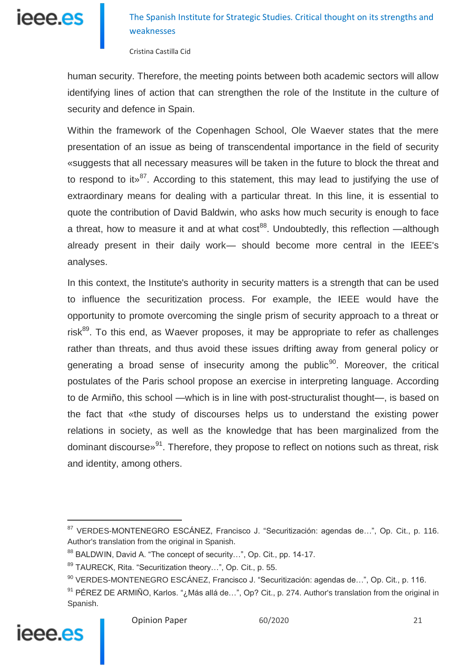

Cristina Castilla Cid

human security. Therefore, the meeting points between both academic sectors will allow identifying lines of action that can strengthen the role of the Institute in the culture of security and defence in Spain.

Within the framework of the Copenhagen School, Ole Waever states that the mere presentation of an issue as being of transcendental importance in the field of security «suggests that all necessary measures will be taken in the future to block the threat and to respond to it  $x^{87}$ . According to this statement, this may lead to justifying the use of extraordinary means for dealing with a particular threat. In this line, it is essential to quote the contribution of David Baldwin, who asks how much security is enough to face a threat, how to measure it and at what  $\cos t^{88}$ . Undoubtedly, this reflection —although already present in their daily work— should become more central in the IEEE's analyses.

In this context, the Institute's authority in security matters is a strength that can be used to influence the securitization process. For example, the IEEE would have the opportunity to promote overcoming the single prism of security approach to a threat or risk $89$ . To this end, as Waever proposes, it may be appropriate to refer as challenges rather than threats, and thus avoid these issues drifting away from general policy or generating a broad sense of insecurity among the public<sup>90</sup>. Moreover, the critical postulates of the Paris school propose an exercise in interpreting language. According to de Armiño, this school —which is in line with post-structuralist thought—, is based on the fact that «the study of discourses helps us to understand the existing power relations in society, as well as the knowledge that has been marginalized from the dominant discourse»<sup>91</sup>. Therefore, they propose to reflect on notions such as threat, risk and identity, among others.

<sup>91</sup> PÉREZ DE ARMIÑO, Karlos. "¿Más allá de...", Op? Cit., p. 274. Author's translation from the original in Spanish.



<sup>87</sup> VERDES-MONTENEGRO ESCÁNEZ, Francisco J. "Securitización: agendas de...", Op. Cit., p. 116. Author's translation from the original in Spanish.

<sup>88</sup> BALDWIN, David A. "The concept of security...", Op. Cit., pp. 14-17.

<sup>89</sup> TAURECK, Rita. "Securitization theory...", Op. Cit., p. 55.

<sup>90</sup> VERDES-MONTENEGRO ESCÁNEZ, Francisco J. "Securitización: agendas de…", Op. Cit., p. 116.